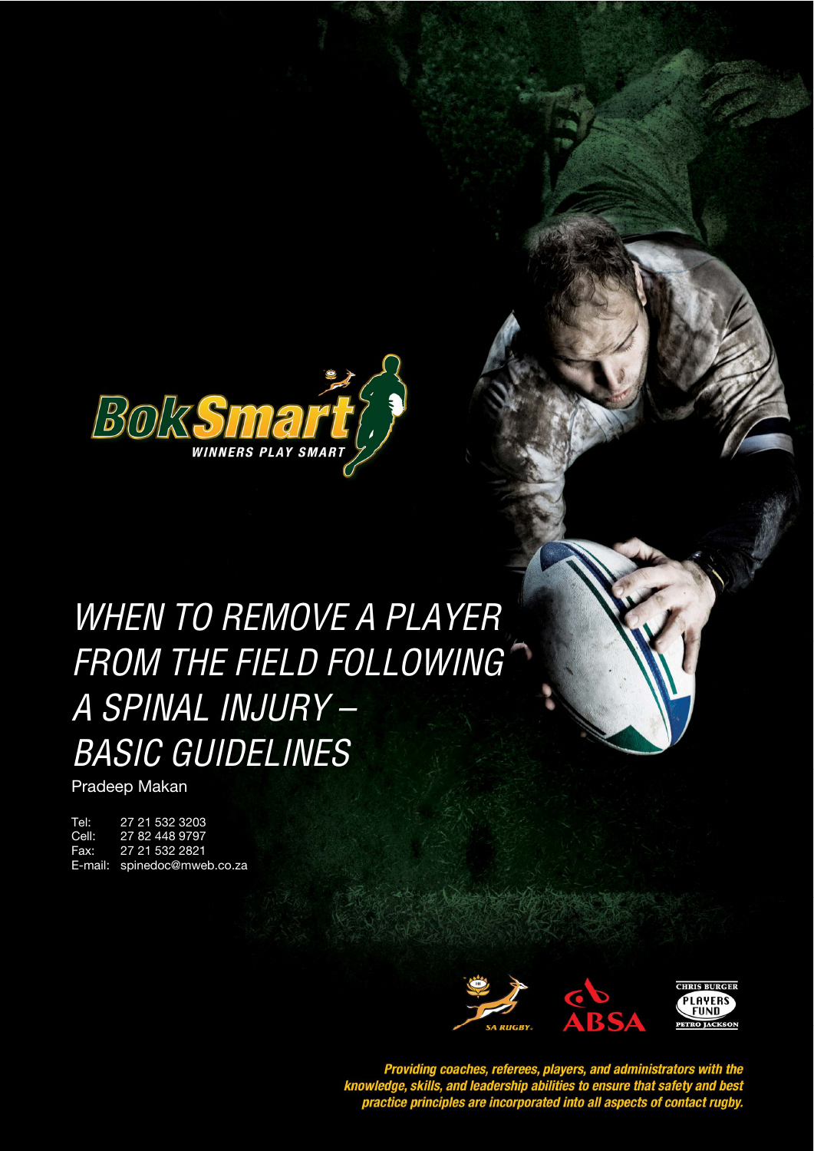

When to Remove a Player from the Field following a Player from the Field following a Spinal Injury – Basic guidelines

# WHEN TO REMOVE A PLAYER **STYLE HEADING FOR TABLES**  FROM THE FIELD FOLLOWING A SPINAL INJURY – BASIC GUIDELINES

Pradeep Makan

Tel: 27 21 532 3203<br>Cell: 27 82 448 9797 Cell: 27 82 448 9797 Fax: 27 21 532 2821 E-mail: spinedoc@mweb.co.za



Providing coaches, referees, players, and administrators with the<br>knowledge, skills, and leadership abilities to ensure that safety and best<br>practice principles are incorporated into all aspects of contact rugby.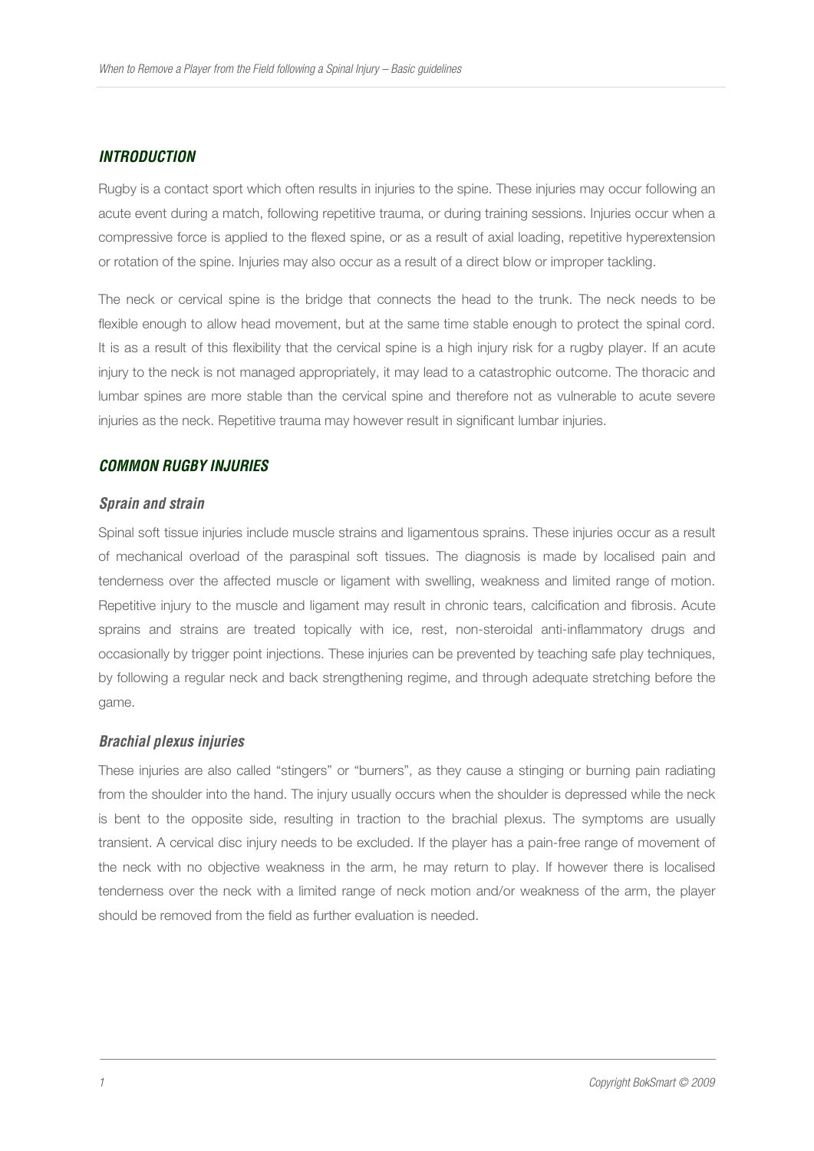# **INTRODUCTION**

Rugby is a contact sport which often results in injuries to the spine. These injuries may occur following an acute event during a match, following repetitive trauma, or during training sessions. Injuries occur when a compressive force is applied to the flexed spine, or as a result of axial loading, repetitive hyperextension or rotation of the spine. Injuries may also occur as a result of a direct blow or improper tackling.

The neck or cervical spine is the bridge that connects the head to the trunk. The neck needs to be flexible enough to allow head movement, but at the same time stable enough to protect the spinal cord. It is as a result of this flexibility that the cervical spine is a high injury risk for a rugby player. If an acute injury to the neck is not managed appropriately, it may lead to a catastrophic outcome. The thoracic and lumbar spines are more stable than the cervical spine and therefore not as vulnerable to acute severe injuries as the neck. Repetitive trauma may however result in significant lumbar injuries.

#### **COMMON RUGBY INJURIES**

#### **Sprain and strain**

Spinal soft tissue injuries include muscle strains and ligamentous sprains. These injuries occur as a result of mechanical overload of the paraspinal soft tissues. The diagnosis is made by localised pain and tenderness over the affected muscle or ligament with swelling, weakness and limited range of motion. Repetitive injury to the muscle and ligament may result in chronic tears, calcification and fibrosis. Acute sprains and strains are treated topically with ice, rest, non-steroidal anti-inflammatory drugs and occasionally by trigger point injections. These injuries can be prevented by teaching safe play techniques, by following a regular neck and back strengthening regime, and through adequate stretching before the game.

#### **Brachial plexus injuries**

These injuries are also called "stingers" or "burners", as they cause a stinging or burning pain radiating from the shoulder into the hand. The injury usually occurs when the shoulder is depressed while the neck is bent to the opposite side, resulting in traction to the brachial plexus. The symptoms are usually transient. A cervical disc injury needs to be excluded. If the player has a pain-free range of movement of the neck with no objective weakness in the arm, he may return to play. If however there is localised tenderness over the neck with a limited range of neck motion and/or weakness of the arm, the player should be removed from the field as further evaluation is needed.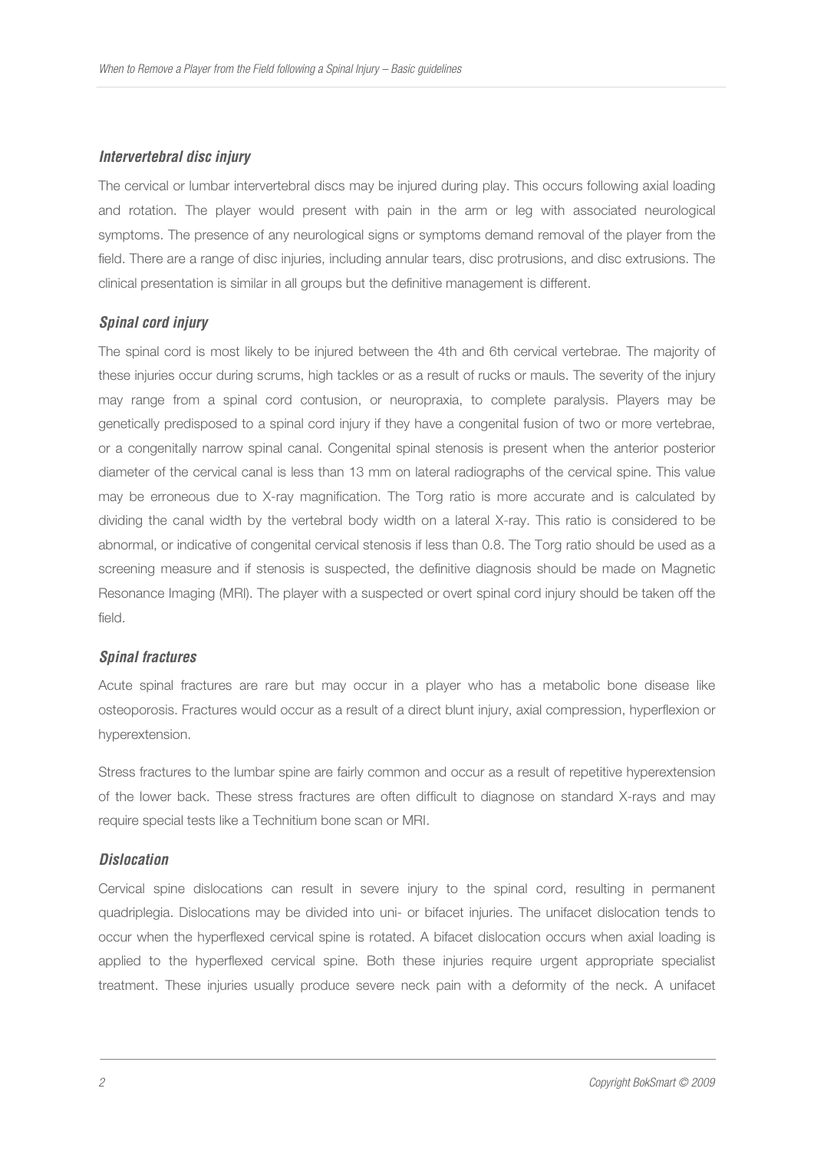# **Intervertebral disc injury**

The cervical or lumbar intervertebral discs may be injured during play. This occurs following axial loading and rotation. The player would present with pain in the arm or leg with associated neurological symptoms. The presence of any neurological signs or symptoms demand removal of the player from the field. There are a range of disc injuries, including annular tears, disc protrusions, and disc extrusions. The clinical presentation is similar in all groups but the definitive management is different.

# **Spinal cord injury**

The spinal cord is most likely to be injured between the 4th and 6th cervical vertebrae. The majority of these injuries occur during scrums, high tackles or as a result of rucks or mauls. The severity of the injury may range from a spinal cord contusion, or neuropraxia, to complete paralysis. Players may be genetically predisposed to a spinal cord injury if they have a congenital fusion of two or more vertebrae, or a congenitally narrow spinal canal. Congenital spinal stenosis is present when the anterior posterior diameter of the cervical canal is less than 13 mm on lateral radiographs of the cervical spine. This value may be erroneous due to X-ray magnification. The Torg ratio is more accurate and is calculated by dividing the canal width by the vertebral body width on a lateral X-ray. This ratio is considered to be abnormal, or indicative of congenital cervical stenosis if less than 0.8. The Torg ratio should be used as a screening measure and if stenosis is suspected, the definitive diagnosis should be made on Magnetic Resonance Imaging (MRI). The player with a suspected or overt spinal cord injury should be taken off the field.

# **Spinal fractures**

Acute spinal fractures are rare but may occur in a player who has a metabolic bone disease like osteoporosis. Fractures would occur as a result of a direct blunt injury, axial compression, hyperflexion or hyperextension.

Stress fractures to the lumbar spine are fairly common and occur as a result of repetitive hyperextension of the lower back. These stress fractures are often difficult to diagnose on standard X-rays and may require special tests like a Technitium bone scan or MRI.

# **Dislocation**

Cervical spine dislocations can result in severe injury to the spinal cord, resulting in permanent quadriplegia. Dislocations may be divided into uni- or bifacet injuries. The unifacet dislocation tends to occur when the hyperflexed cervical spine is rotated. A bifacet dislocation occurs when axial loading is applied to the hyperflexed cervical spine. Both these injuries require urgent appropriate specialist treatment. These injuries usually produce severe neck pain with a deformity of the neck. A unifacet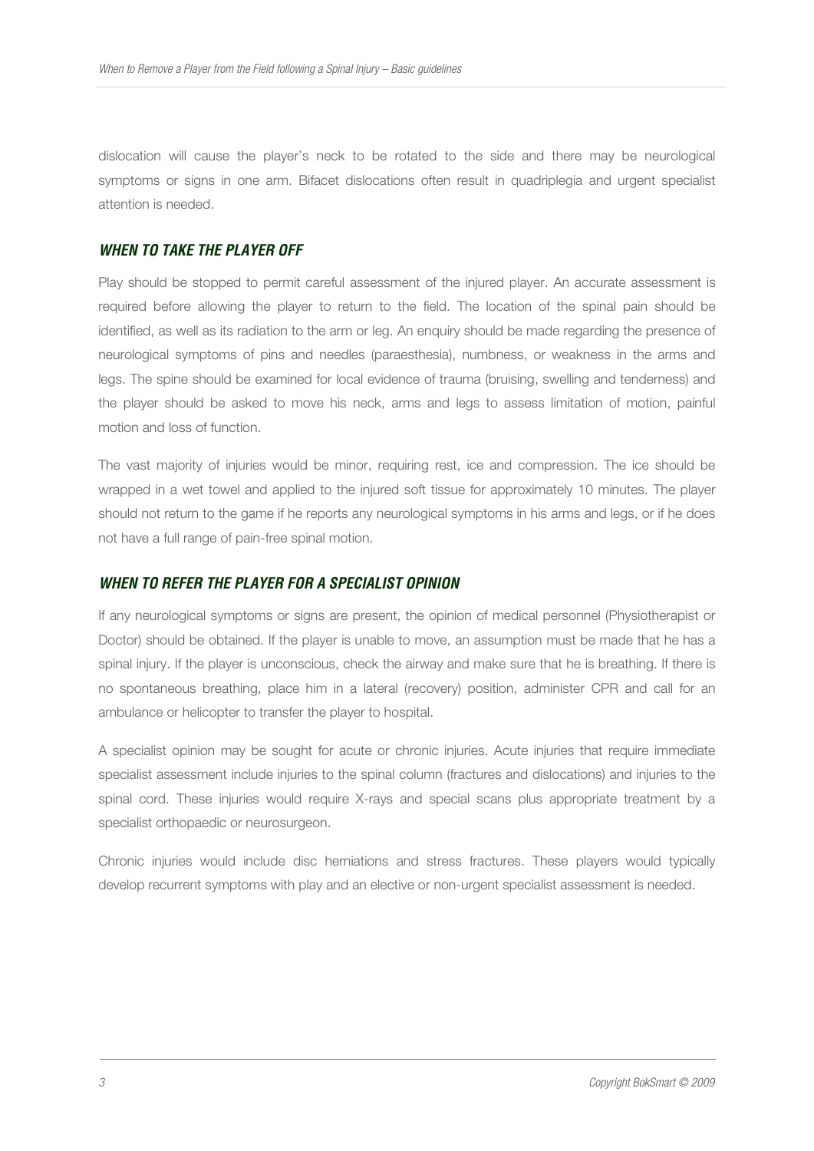dislocation will cause the player's neck to be rotated to the side and there may be neurological symptoms or signs in one arm. Bifacet dislocations often result in quadriplegia and urgent specialist attention is needed.

#### **WHEN TO TAKE THE PLAYER OFF**

Play should be stopped to permit careful assessment of the injured player. An accurate assessment is required before allowing the player to return to the field. The location of the spinal pain should be identified, as well as its radiation to the arm or leg. An enquiry should be made regarding the presence of neurological symptoms of pins and needles (paraesthesia), numbness, or weakness in the arms and legs. The spine should be examined for local evidence of trauma (bruising, swelling and tenderness) and the player should be asked to move his neck, arms and legs to assess limitation of motion, painful motion and loss of function.

The vast majority of injuries would be minor, requiring rest, ice and compression. The ice should be wrapped in a wet towel and applied to the injured soft tissue for approximately 10 minutes. The player should not return to the game if he reports any neurological symptoms in his arms and legs, or if he does not have a full range of pain-free spinal motion.

#### **WHEN TO REFER THE PLAYER FOR A SPECIALIST OPINION**

If any neurological symptoms or signs are present, the opinion of medical personnel (Physiotherapist or Doctor) should be obtained. If the player is unable to move, an assumption must be made that he has a spinal injury. If the player is unconscious, check the airway and make sure that he is breathing. If there is no spontaneous breathing, place him in a lateral (recovery) position, administer CPR and call for an ambulance or helicopter to transfer the player to hospital.

A specialist opinion may be sought for acute or chronic injuries. Acute injuries that require immediate specialist assessment include injuries to the spinal column (fractures and dislocations) and injuries to the spinal cord. These injuries would require X-rays and special scans plus appropriate treatment by a specialist orthopaedic or neurosurgeon.

Chronic injuries would include disc herniations and stress fractures. These players would typically develop recurrent symptoms with play and an elective or non-urgent specialist assessment is needed.